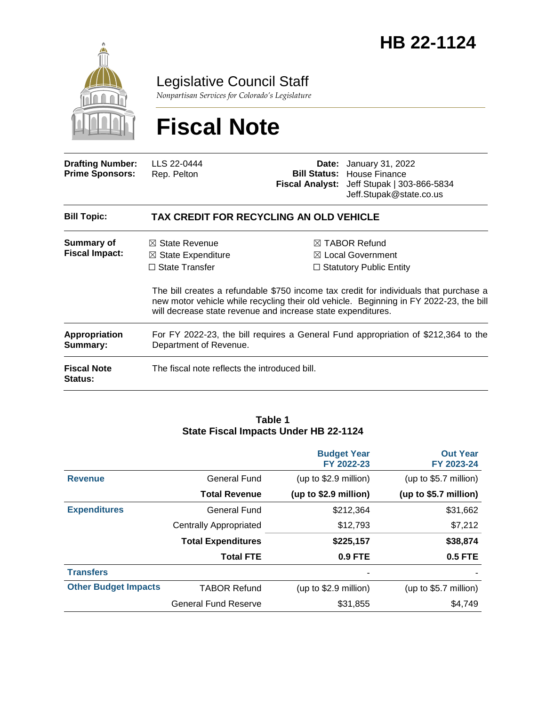

Legislative Council Staff

*Nonpartisan Services for Colorado's Legislature*

# **Fiscal Note**

| <b>Drafting Number:</b><br><b>Prime Sponsors:</b> | LLS 22-0444<br>Rep. Pelton                                                                                                                                                                                                                      |  | <b>Date:</b> January 31, 2022<br><b>Bill Status: House Finance</b><br>Fiscal Analyst: Jeff Stupak   303-866-5834<br>Jeff.Stupak@state.co.us |  |  |
|---------------------------------------------------|-------------------------------------------------------------------------------------------------------------------------------------------------------------------------------------------------------------------------------------------------|--|---------------------------------------------------------------------------------------------------------------------------------------------|--|--|
| <b>Bill Topic:</b>                                | TAX CREDIT FOR RECYCLING AN OLD VEHICLE                                                                                                                                                                                                         |  |                                                                                                                                             |  |  |
| Summary of<br><b>Fiscal Impact:</b>               | $\boxtimes$ State Revenue<br>$\boxtimes$ State Expenditure<br>$\Box$ State Transfer                                                                                                                                                             |  | $\boxtimes$ TABOR Refund<br>$\boxtimes$ Local Government<br>$\Box$ Statutory Public Entity                                                  |  |  |
|                                                   | The bill creates a refundable \$750 income tax credit for individuals that purchase a<br>new motor vehicle while recycling their old vehicle. Beginning in FY 2022-23, the bill<br>will decrease state revenue and increase state expenditures. |  |                                                                                                                                             |  |  |
| <b>Appropriation</b><br>Summary:                  | For FY 2022-23, the bill requires a General Fund appropriation of \$212,364 to the<br>Department of Revenue.                                                                                                                                    |  |                                                                                                                                             |  |  |
| <b>Fiscal Note</b><br>Status:                     | The fiscal note reflects the introduced bill.                                                                                                                                                                                                   |  |                                                                                                                                             |  |  |

#### **Table 1 State Fiscal Impacts Under HB 22-1124**

|                             |                               | <b>Budget Year</b><br>FY 2022-23 | <b>Out Year</b><br>FY 2023-24 |
|-----------------------------|-------------------------------|----------------------------------|-------------------------------|
| <b>Revenue</b>              | General Fund                  | (up to \$2.9 million)            | (up to \$5.7 million)         |
|                             | <b>Total Revenue</b>          | (up to \$2.9 million)            | (up to \$5.7 million)         |
| <b>Expenditures</b>         | General Fund                  | \$212,364                        | \$31,662                      |
|                             | <b>Centrally Appropriated</b> | \$12,793                         | \$7,212                       |
|                             | <b>Total Expenditures</b>     | \$225,157                        | \$38,874                      |
|                             | <b>Total FTE</b>              | 0.9 FTE                          | <b>0.5 FTE</b>                |
| <b>Transfers</b>            |                               | -                                |                               |
| <b>Other Budget Impacts</b> | <b>TABOR Refund</b>           | (up to \$2.9 million)            | (up to \$5.7 million)         |
|                             | <b>General Fund Reserve</b>   | \$31.855                         | \$4,749                       |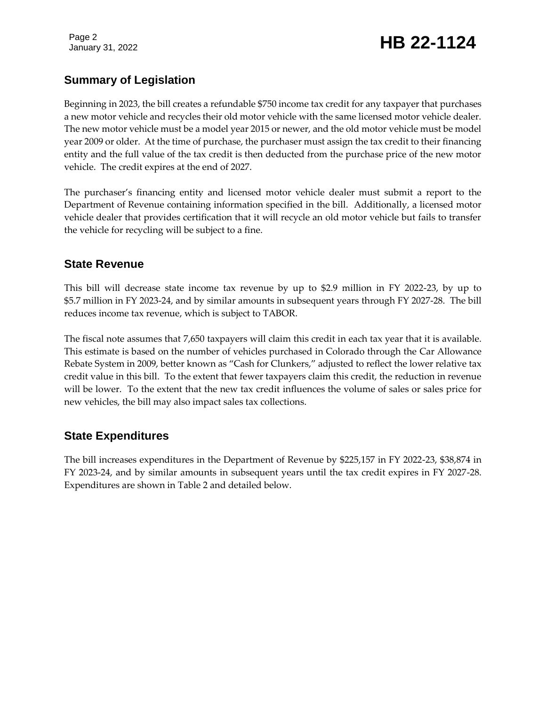Page 2

# January 31, 2022 **HB 22-1124**

# **Summary of Legislation**

Beginning in 2023, the bill creates a refundable \$750 income tax credit for any taxpayer that purchases a new motor vehicle and recycles their old motor vehicle with the same licensed motor vehicle dealer. The new motor vehicle must be a model year 2015 or newer, and the old motor vehicle must be model year 2009 or older. At the time of purchase, the purchaser must assign the tax credit to their financing entity and the full value of the tax credit is then deducted from the purchase price of the new motor vehicle. The credit expires at the end of 2027.

The purchaser's financing entity and licensed motor vehicle dealer must submit a report to the Department of Revenue containing information specified in the bill. Additionally, a licensed motor vehicle dealer that provides certification that it will recycle an old motor vehicle but fails to transfer the vehicle for recycling will be subject to a fine.

### **State Revenue**

This bill will decrease state income tax revenue by up to \$2.9 million in FY 2022-23, by up to \$5.7 million in FY 2023-24, and by similar amounts in subsequent years through FY 2027-28. The bill reduces income tax revenue, which is subject to TABOR.

The fiscal note assumes that 7,650 taxpayers will claim this credit in each tax year that it is available. This estimate is based on the number of vehicles purchased in Colorado through the Car Allowance Rebate System in 2009, better known as "Cash for Clunkers," adjusted to reflect the lower relative tax credit value in this bill. To the extent that fewer taxpayers claim this credit, the reduction in revenue will be lower. To the extent that the new tax credit influences the volume of sales or sales price for new vehicles, the bill may also impact sales tax collections.

# **State Expenditures**

The bill increases expenditures in the Department of Revenue by \$225,157 in FY 2022-23, \$38,874 in FY 2023-24, and by similar amounts in subsequent years until the tax credit expires in FY 2027-28. Expenditures are shown in Table 2 and detailed below.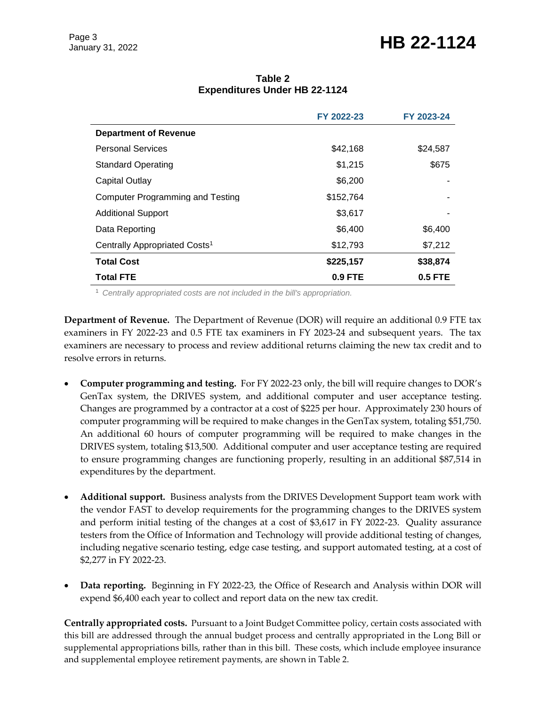# January 31, 2022 **HB 22-1124**

|                                           | FY 2022-23 | FY 2023-24 |
|-------------------------------------------|------------|------------|
| <b>Department of Revenue</b>              |            |            |
| <b>Personal Services</b>                  | \$42,168   | \$24,587   |
| <b>Standard Operating</b>                 | \$1,215    | \$675      |
| Capital Outlay                            | \$6,200    |            |
| Computer Programming and Testing          | \$152,764  |            |
| <b>Additional Support</b>                 | \$3,617    |            |
| Data Reporting                            | \$6,400    | \$6,400    |
| Centrally Appropriated Costs <sup>1</sup> | \$12,793   | \$7,212    |
| <b>Total Cost</b>                         | \$225,157  | \$38,874   |
| <b>Total FTE</b>                          | $0.9$ FTE  | 0.5 FTE    |

#### **Table 2 Expenditures Under HB 22-1124**

<sup>1</sup> *Centrally appropriated costs are not included in the bill's appropriation.*

**Department of Revenue.** The Department of Revenue (DOR) will require an additional 0.9 FTE tax examiners in FY 2022-23 and 0.5 FTE tax examiners in FY 2023-24 and subsequent years. The tax examiners are necessary to process and review additional returns claiming the new tax credit and to resolve errors in returns.

- **Computer programming and testing.** For FY 2022-23 only, the bill will require changes to DOR's GenTax system, the DRIVES system, and additional computer and user acceptance testing. Changes are programmed by a contractor at a cost of \$225 per hour. Approximately 230 hours of computer programming will be required to make changes in the GenTax system, totaling \$51,750. An additional 60 hours of computer programming will be required to make changes in the DRIVES system, totaling \$13,500. Additional computer and user acceptance testing are required to ensure programming changes are functioning properly, resulting in an additional \$87,514 in expenditures by the department.
- **Additional support.** Business analysts from the DRIVES Development Support team work with the vendor FAST to develop requirements for the programming changes to the DRIVES system and perform initial testing of the changes at a cost of \$3,617 in FY 2022-23. Quality assurance testers from the Office of Information and Technology will provide additional testing of changes, including negative scenario testing, edge case testing, and support automated testing, at a cost of \$2,277 in FY 2022-23.
- **Data reporting.** Beginning in FY 2022-23, the Office of Research and Analysis within DOR will expend \$6,400 each year to collect and report data on the new tax credit.

**Centrally appropriated costs.** Pursuant to a Joint Budget Committee policy, certain costs associated with this bill are addressed through the annual budget process and centrally appropriated in the Long Bill or supplemental appropriations bills, rather than in this bill. These costs, which include employee insurance and supplemental employee retirement payments, are shown in Table 2.